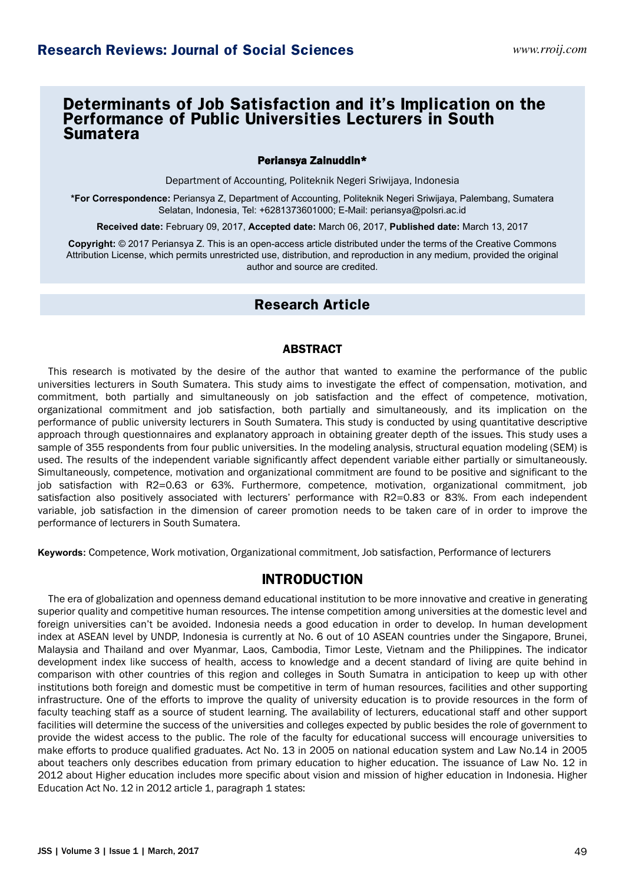# **Determinants of Job Satisfaction and it's Implication on the Performance of Public Universities Lecturers in South Sumatera**

## Periansya Zainuddin\*

Department of Accounting, Politeknik Negeri Sriwijaya, Indonesia

**\*For Correspondence:** Periansya Z, Department of Accounting, Politeknik Negeri Sriwijaya, Palembang, Sumatera Selatan, Indonesia, Tel: +6281373601000; E-Mail: periansya@polsri.ac.id

**Received date:** February 09, 2017, **Accepted date:** March 06, 2017, **Published date:** March 13, 2017

**Copyright:** © 2017 Periansya Z. This is an open-access article distributed under the terms of the Creative Commons Attribution License, which permits unrestricted use, distribution, and reproduction in any medium, provided the original author and source are credited.

# **Research Article**

## ABSTRACT

This research is motivated by the desire of the author that wanted to examine the performance of the public universities lecturers in South Sumatera. This study aims to investigate the effect of compensation, motivation, and commitment, both partially and simultaneously on job satisfaction and the effect of competence, motivation, organizational commitment and job satisfaction, both partially and simultaneously, and its implication on the performance of public university lecturers in South Sumatera. This study is conducted by using quantitative descriptive approach through questionnaires and explanatory approach in obtaining greater depth of the issues. This study uses a sample of 355 respondents from four public universities. In the modeling analysis, structural equation modeling (SEM) is used. The results of the independent variable significantly affect dependent variable either partially or simultaneously. Simultaneously, competence, motivation and organizational commitment are found to be positive and significant to the job satisfaction with R2=0.63 or 63%. Furthermore, competence, motivation, organizational commitment, job satisfaction also positively associated with lecturers' performance with R2=0.83 or 83%. From each independent variable, job satisfaction in the dimension of career promotion needs to be taken care of in order to improve the performance of lecturers in South Sumatera.

**Keywords:** Competence, Work motivation, Organizational commitment, Job satisfaction, Performance of lecturers

## **INTRODUCTION**

The era of globalization and openness demand educational institution to be more innovative and creative in generating superior quality and competitive human resources. The intense competition among universities at the domestic level and foreign universities can't be avoided. Indonesia needs a good education in order to develop. In human development index at ASEAN level by UNDP, Indonesia is currently at No. 6 out of 10 ASEAN countries under the Singapore, Brunei, Malaysia and Thailand and over Myanmar, Laos, Cambodia, Timor Leste, Vietnam and the Philippines. The indicator development index like success of health, access to knowledge and a decent standard of living are quite behind in comparison with other countries of this region and colleges in South Sumatra in anticipation to keep up with other institutions both foreign and domestic must be competitive in term of human resources, facilities and other supporting infrastructure. One of the efforts to improve the quality of university education is to provide resources in the form of faculty teaching staff as a source of student learning. The availability of lecturers, educational staff and other support facilities will determine the success of the universities and colleges expected by public besides the role of government to provide the widest access to the public. The role of the faculty for educational success will encourage universities to make efforts to produce qualified graduates. Act No. 13 in 2005 on national education system and Law No.14 in 2005 about teachers only describes education from primary education to higher education. The issuance of Law No. 12 in 2012 about Higher education includes more specific about vision and mission of higher education in Indonesia. Higher Education Act No. 12 in 2012 article 1, paragraph 1 states: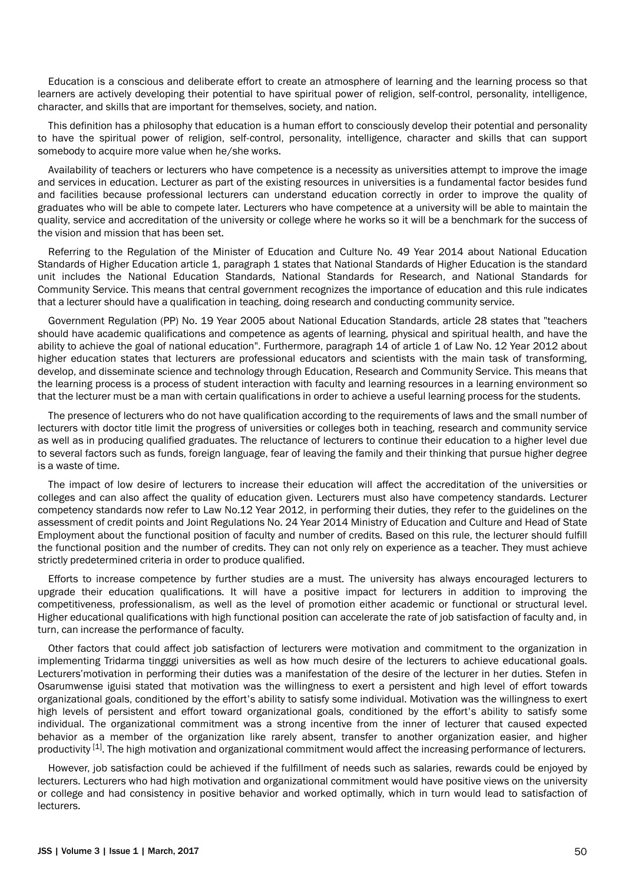Education is a conscious and deliberate effort to create an atmosphere of learning and the learning process so that learners are actively developing their potential to have spiritual power of religion, self-control, personality, intelligence, character, and skills that are important for themselves, society, and nation.

This definition has a philosophy that education is a human effort to consciously develop their potential and personality to have the spiritual power of religion, self-control, personality, intelligence, character and skills that can support somebody to acquire more value when he/she works.

Availability of teachers or lecturers who have competence is a necessity as universities attempt to improve the image and services in education. Lecturer as part of the existing resources in universities is a fundamental factor besides fund and facilities because professional lecturers can understand education correctly in order to improve the quality of graduates who will be able to compete later. Lecturers who have competence at a university will be able to maintain the quality, service and accreditation of the university or college where he works so it will be a benchmark for the success of the vision and mission that has been set.

Referring to the Regulation of the Minister of Education and Culture No. 49 Year 2014 about National Education Standards of Higher Education article 1, paragraph 1 states that National Standards of Higher Education is the standard unit includes the National Education Standards, National Standards for Research, and National Standards for Community Service. This means that central government recognizes the importance of education and this rule indicates that a lecturer should have a qualification in teaching, doing research and conducting community service.

Government Regulation (PP) No. 19 Year 2005 about National Education Standards, article 28 states that "teachers should have academic qualifications and competence as agents of learning, physical and spiritual health, and have the ability to achieve the goal of national education". Furthermore, paragraph 14 of article 1 of Law No. 12 Year 2012 about higher education states that lecturers are professional educators and scientists with the main task of transforming, develop, and disseminate science and technology through Education, Research and Community Service. This means that the learning process is a process of student interaction with faculty and learning resources in a learning environment so that the lecturer must be a man with certain qualifications in order to achieve a useful learning process for the students.

The presence of lecturers who do not have qualification according to the requirements of laws and the small number of lecturers with doctor title limit the progress of universities or colleges both in teaching, research and community service as well as in producing qualified graduates. The reluctance of lecturers to continue their education to a higher level due to several factors such as funds, foreign language, fear of leaving the family and their thinking that pursue higher degree is a waste of time.

The impact of low desire of lecturers to increase their education will affect the accreditation of the universities or colleges and can also affect the quality of education given. Lecturers must also have competency standards. Lecturer competency standards now refer to Law No.12 Year 2012, in performing their duties, they refer to the guidelines on the assessment of credit points and Joint Regulations No. 24 Year 2014 Ministry of Education and Culture and Head of State Employment about the functional position of faculty and number of credits. Based on this rule, the lecturer should fulfill the functional position and the number of credits. They can not only rely on experience as a teacher. They must achieve strictly predetermined criteria in order to produce qualified.

Efforts to increase competence by further studies are a must. The university has always encouraged lecturers to upgrade their education qualifications. It will have a positive impact for lecturers in addition to improving the competitiveness, professionalism, as well as the level of promotion either academic or functional or structural level. Higher educational qualifications with high functional position can accelerate the rate of job satisfaction of faculty and, in turn, can increase the performance of faculty.

Other factors that could affect job satisfaction of lecturers were motivation and commitment to the organization in implementing Tridarma tingggi universities as well as how much desire of the lecturers to achieve educational goals. Lecturers'motivation in performing their duties was a manifestation of the desire of the lecturer in her duties. Stefen in Osarumwense iguisi stated that motivation was the willingness to exert a persistent and high level of effort towards organizational goals, conditioned by the effort's ability to satisfy some individual. Motivation was the willingness to exert high levels of persistent and effort toward organizational goals, conditioned by the effort's ability to satisfy some individual. The organizational commitment was a strong incentive from the inner of lecturer that caused expected behavior as a member of the organization like rarely absent, transfer to another organization easier, and higher productivity <sup>[1]</sup>. The high motivation and organizational commitment would affect the increasing performance of lecturers.

However, job satisfaction could be achieved if the fulfillment of needs such as salaries, rewards could be enjoyed by lecturers. Lecturers who had high motivation and organizational commitment would have positive views on the university or college and had consistency in positive behavior and worked optimally, which in turn would lead to satisfaction of lecturers.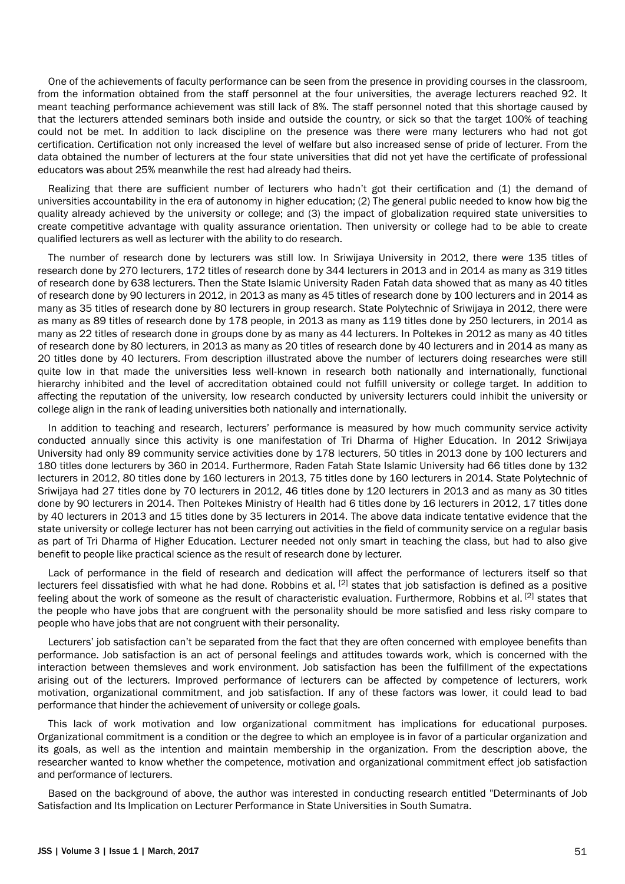One of the achievements of faculty performance can be seen from the presence in providing courses in the classroom, from the information obtained from the staff personnel at the four universities, the average lecturers reached 92. It meant teaching performance achievement was still lack of 8%. The staff personnel noted that this shortage caused by that the lecturers attended seminars both inside and outside the country, or sick so that the target 100% of teaching could not be met. In addition to lack discipline on the presence was there were many lecturers who had not got certification. Certification not only increased the level of welfare but also increased sense of pride of lecturer. From the data obtained the number of lecturers at the four state universities that did not yet have the certificate of professional educators was about 25% meanwhile the rest had already had theirs.

Realizing that there are sufficient number of lecturers who hadn't got their certification and (1) the demand of universities accountability in the era of autonomy in higher education; (2) The general public needed to know how big the quality already achieved by the university or college; and (3) the impact of globalization required state universities to create competitive advantage with quality assurance orientation. Then university or college had to be able to create qualified lecturers as well as lecturer with the ability to do research.

The number of research done by lecturers was still low. In Sriwijaya University in 2012, there were 135 titles of research done by 270 lecturers, 172 titles of research done by 344 lecturers in 2013 and in 2014 as many as 319 titles of research done by 638 lecturers. Then the State Islamic University Raden Fatah data showed that as many as 40 titles of research done by 90 lecturers in 2012, in 2013 as many as 45 titles of research done by 100 lecturers and in 2014 as many as 35 titles of research done by 80 lecturers in group research. State Polytechnic of Sriwijaya in 2012, there were as many as 89 titles of research done by 178 people, in 2013 as many as 119 titles done by 250 lecturers, in 2014 as many as 22 titles of research done in groups done by as many as 44 lecturers. In Poltekes in 2012 as many as 40 titles of research done by 80 lecturers, in 2013 as many as 20 titles of research done by 40 lecturers and in 2014 as many as 20 titles done by 40 lecturers. From description illustrated above the number of lecturers doing researches were still quite low in that made the universities less well-known in research both nationally and internationally, functional hierarchy inhibited and the level of accreditation obtained could not fulfill university or college target. In addition to affecting the reputation of the university, low research conducted by university lecturers could inhibit the university or college align in the rank of leading universities both nationally and internationally.

In addition to teaching and research, lecturers' performance is measured by how much community service activity conducted annually since this activity is one manifestation of Tri Dharma of Higher Education. In 2012 Sriwijaya University had only 89 community service activities done by 178 lecturers, 50 titles in 2013 done by 100 lecturers and 180 titles done lecturers by 360 in 2014. Furthermore, Raden Fatah State Islamic University had 66 titles done by 132 lecturers in 2012, 80 titles done by 160 lecturers in 2013, 75 titles done by 160 lecturers in 2014. State Polytechnic of Sriwijaya had 27 titles done by 70 lecturers in 2012, 46 titles done by 120 lecturers in 2013 and as many as 30 titles done by 90 lecturers in 2014. Then Poltekes Ministry of Health had 6 titles done by 16 lecturers in 2012, 17 titles done by 40 lecturers in 2013 and 15 titles done by 35 lecturers in 2014. The above data indicate tentative evidence that the state university or college lecturer has not been carrying out activities in the field of community service on a regular basis as part of Tri Dharma of Higher Education. Lecturer needed not only smart in teaching the class, but had to also give benefit to people like practical science as the result of research done by lecturer.

Lack of performance in the field of research and dedication will affect the performance of lecturers itself so that lecturers feel dissatisfied with what he had done. Robbins et al.  $^{[2]}$  states that iob satisfaction is defined as a positive feeling about the work of someone as the result of characteristic evaluation. Furthermore, Robbins et al. <sup>[2]</sup> states that the people who have jobs that are congruent with the personality should be more satisfied and less risky compare to people who have jobs that are not congruent with their personality.

Lecturers' job satisfaction can't be separated from the fact that they are often concerned with employee benefits than performance. Job satisfaction is an act of personal feelings and attitudes towards work, which is concerned with the interaction between themsleves and work environment. Job satisfaction has been the fulfillment of the expectations arising out of the lecturers. Improved performance of lecturers can be affected by competence of lecturers, work motivation, organizational commitment, and job satisfaction. If any of these factors was lower, it could lead to bad performance that hinder the achievement of university or college goals.

This lack of work motivation and low organizational commitment has implications for educational purposes. Organizational commitment is a condition or the degree to which an employee is in favor of a particular organization and its goals, as well as the intention and maintain membership in the organization. From the description above, the researcher wanted to know whether the competence, motivation and organizational commitment effect job satisfaction and performance of lecturers.

Based on the background of above, the author was interested in conducting research entitled "Determinants of Job Satisfaction and Its Implication on Lecturer Performance in State Universities in South Sumatra.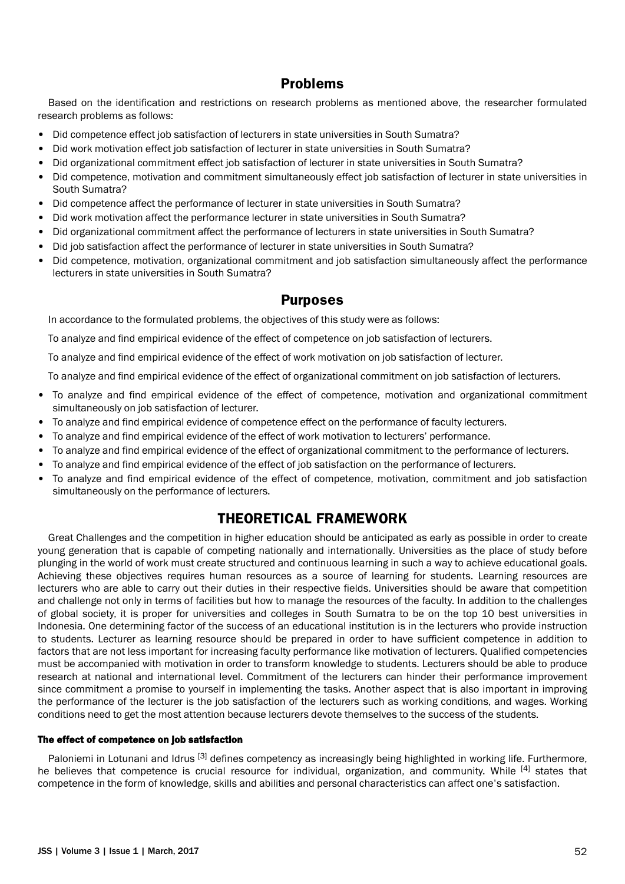# **Problems**

Based on the identification and restrictions on research problems as mentioned above, the researcher formulated research problems as follows:

- Did competence effect job satisfaction of lecturers in state universities in South Sumatra?
- Did work motivation effect job satisfaction of lecturer in state universities in South Sumatra?
- Did organizational commitment effect job satisfaction of lecturer in state universities in South Sumatra?
- Did competence, motivation and commitment simultaneously effect job satisfaction of lecturer in state universities in South Sumatra?
- Did competence affect the performance of lecturer in state universities in South Sumatra?
- Did work motivation affect the performance lecturer in state universities in South Sumatra?
- Did organizational commitment affect the performance of lecturers in state universities in South Sumatra?
- Did job satisfaction affect the performance of lecturer in state universities in South Sumatra?
- Did competence, motivation, organizational commitment and job satisfaction simultaneously affect the performance lecturers in state universities in South Sumatra?

## **Purposes**

In accordance to the formulated problems, the objectives of this study were as follows:

To analyze and find empirical evidence of the effect of competence on job satisfaction of lecturers.

To analyze and find empirical evidence of the effect of work motivation on job satisfaction of lecturer.

To analyze and find empirical evidence of the effect of organizational commitment on job satisfaction of lecturers.

- To analyze and find empirical evidence of the effect of competence, motivation and organizational commitment simultaneously on job satisfaction of lecturer.
- To analyze and find empirical evidence of competence effect on the performance of faculty lecturers.
- To analyze and find empirical evidence of the effect of work motivation to lecturers' performance.
- To analyze and find empirical evidence of the effect of organizational commitment to the performance of lecturers.
- To analyze and find empirical evidence of the effect of job satisfaction on the performance of lecturers.
- To analyze and find empirical evidence of the effect of competence, motivation, commitment and job satisfaction simultaneously on the performance of lecturers.

## **THEORETICAL FRAMEWORK**

Great Challenges and the competition in higher education should be anticipated as early as possible in order to create young generation that is capable of competing nationally and internationally. Universities as the place of study before plunging in the world of work must create structured and continuous learning in such a way to achieve educational goals. Achieving these objectives requires human resources as a source of learning for students. Learning resources are lecturers who are able to carry out their duties in their respective fields. Universities should be aware that competition and challenge not only in terms of facilities but how to manage the resources of the faculty. In addition to the challenges of global society, it is proper for universities and colleges in South Sumatra to be on the top 10 best universities in Indonesia. One determining factor of the success of an educational institution is in the lecturers who provide instruction to students. Lecturer as learning resource should be prepared in order to have sufficient competence in addition to factors that are not less important for increasing faculty performance like motivation of lecturers. Qualified competencies must be accompanied with motivation in order to transform knowledge to students. Lecturers should be able to produce research at national and international level. Commitment of the lecturers can hinder their performance improvement since commitment a promise to yourself in implementing the tasks. Another aspect that is also important in improving the performance of the lecturer is the job satisfaction of the lecturers such as working conditions, and wages. Working conditions need to get the most attention because lecturers devote themselves to the success of the students.

### The effect of competence on job satisfaction

Paloniemi in Lotunani and Idrus<sup>[3]</sup> defines competency as increasingly being highlighted in working life. Furthermore, he believes that competence is crucial resource for individual, organization, and community. While [4] states that competence in the form of knowledge, skills and abilities and personal characteristics can affect one's satisfaction.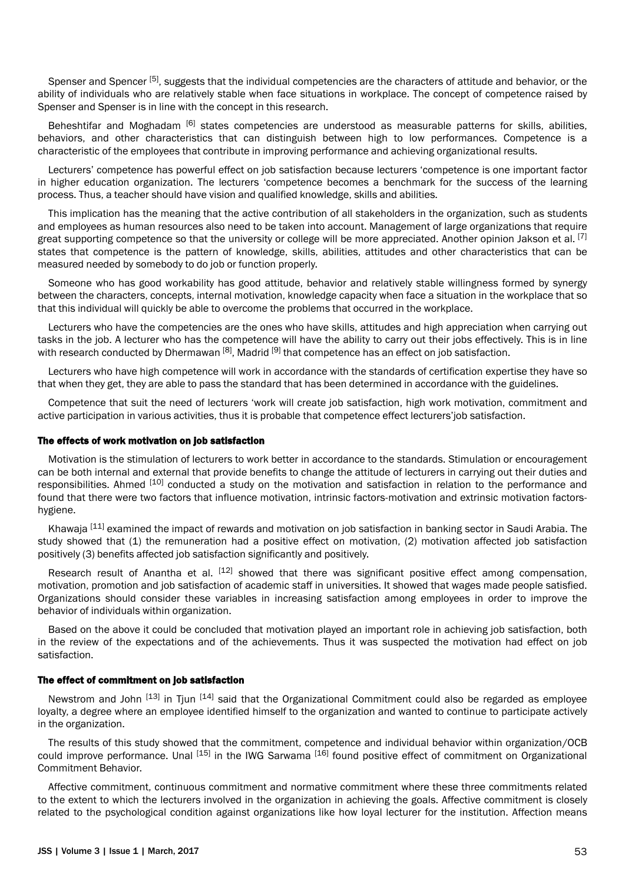Spenser and Spencer<sup>[5]</sup>, suggests that the individual competencies are the characters of attitude and behavior, or the ability of individuals who are relatively stable when face situations in workplace. The concept of competence raised by Spenser and Spenser is in line with the concept in this research.

Beheshtifar and Moghadam <sup>[6]</sup> states competencies are understood as measurable patterns for skills, abilities, behaviors, and other characteristics that can distinguish between high to low performances. Competence is a characteristic of the employees that contribute in improving performance and achieving organizational results.

Lecturers' competence has powerful effect on job satisfaction because lecturers 'competence is one important factor in higher education organization. The lecturers 'competence becomes a benchmark for the success of the learning process. Thus, a teacher should have vision and qualified knowledge, skills and abilities.

This implication has the meaning that the active contribution of all stakeholders in the organization, such as students and employees as human resources also need to be taken into account. Management of large organizations that require great supporting competence so that the university or college will be more appreciated. Another opinion Jakson et al.  $^{[7]}$ states that competence is the pattern of knowledge, skills, abilities, attitudes and other characteristics that can be measured needed by somebody to do job or function properly.

Someone who has good workability has good attitude, behavior and relatively stable willingness formed by synergy between the characters, concepts, internal motivation, knowledge capacity when face a situation in the workplace that so that this individual will quickly be able to overcome the problems that occurred in the workplace.

Lecturers who have the competencies are the ones who have skills, attitudes and high appreciation when carrying out tasks in the job. A lecturer who has the competence will have the ability to carry out their jobs effectively. This is in line with research conducted by Dhermawan <sup>[8]</sup>, Madrid <sup>[9]</sup> that competence has an effect on job satisfaction.

Lecturers who have high competence will work in accordance with the standards of certification expertise they have so that when they get, they are able to pass the standard that has been determined in accordance with the guidelines.

Competence that suit the need of lecturers 'work will create job satisfaction, high work motivation, commitment and active participation in various activities, thus it is probable that competence effect lecturers'job satisfaction.

### The effects of work motivation on job satisfaction

Motivation is the stimulation of lecturers to work better in accordance to the standards. Stimulation or encouragement can be both internal and external that provide benefits to change the attitude of lecturers in carrying out their duties and responsibilities. Ahmed [10] conducted a study on the motivation and satisfaction in relation to the performance and found that there were two factors that influence motivation, intrinsic factors-motivation and extrinsic motivation factorshygiene.

Khawaja <sup>[11]</sup> examined the impact of rewards and motivation on job satisfaction in banking sector in Saudi Arabia. The study showed that (1) the remuneration had a positive effect on motivation, (2) motivation affected job satisfaction positively (3) benefits affected job satisfaction significantly and positively.

Research result of Anantha et al. <sup>[12]</sup> showed that there was significant positive effect among compensation, motivation, promotion and job satisfaction of academic staff in universities. It showed that wages made people satisfied. Organizations should consider these variables in increasing satisfaction among employees in order to improve the behavior of individuals within organization.

Based on the above it could be concluded that motivation played an important role in achieving job satisfaction, both in the review of the expectations and of the achievements. Thus it was suspected the motivation had effect on job satisfaction.

#### The effect of commitment on job satisfaction

Newstrom and John [13] in Tiun [14] said that the Organizational Commitment could also be regarded as employee loyalty, a degree where an employee identified himself to the organization and wanted to continue to participate actively in the organization.

The results of this study showed that the commitment, competence and individual behavior within organization/OCB could improve performance. Unal <sup>[15]</sup> in the IWG Sarwama <sup>[16]</sup> found positive effect of commitment on Organizational Commitment Behavior.

Affective commitment, continuous commitment and normative commitment where these three commitments related to the extent to which the lecturers involved in the organization in achieving the goals. Affective commitment is closely related to the psychological condition against organizations like how loyal lecturer for the institution. Affection means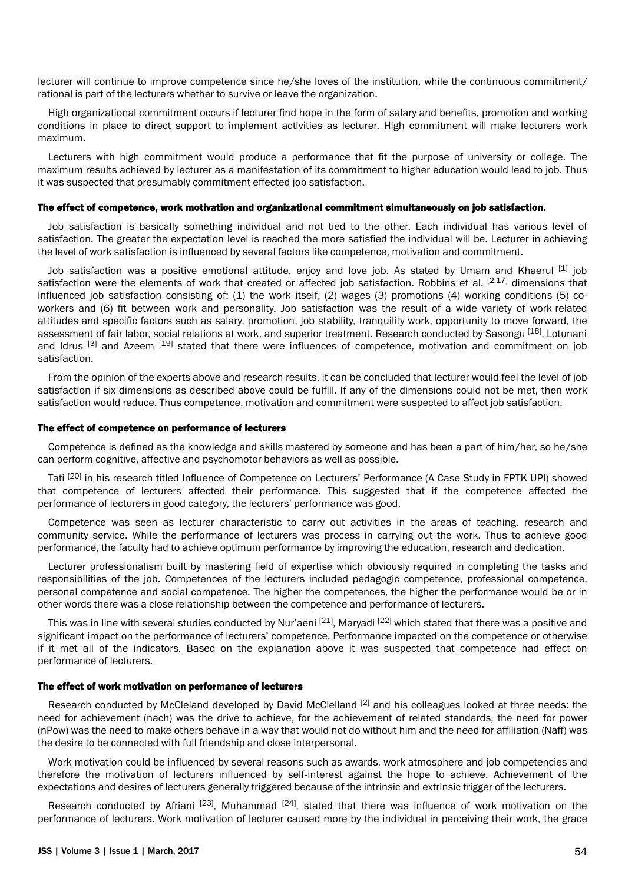lecturer will continue to improve competence since he/she loves of the institution, while the continuous commitment/ rational is part of the lecturers whether to survive or leave the organization.

High organizational commitment occurs if lecturer find hope in the form of salary and benefits, promotion and working conditions in place to direct support to implement activities as lecturer. High commitment will make lecturers work maximum.

Lecturers with high commitment would produce a performance that fit the purpose of university or college. The maximum results achieved by lecturer as a manifestation of its commitment to higher education would lead to job. Thus it was suspected that presumably commitment effected job satisfaction.

## The effect of competence, work motivation and organizational commitment simultaneously on job satisfaction.

Job satisfaction is basically something individual and not tied to the other. Each individual has various level of satisfaction. The greater the expectation level is reached the more satisfied the individual will be. Lecturer in achieving the level of work satisfaction is influenced by several factors like competence, motivation and commitment.

Job satisfaction was a positive emotional attitude, enjoy and love job. As stated by Umam and Khaerul <sup>[1]</sup> job satisfaction were the elements of work that created or affected job satisfaction. Robbins et al.  $[2,17]$  dimensions that influenced job satisfaction consisting of: (1) the work itself, (2) wages (3) promotions (4) working conditions (5) coworkers and (6) fit between work and personality. Job satisfaction was the result of a wide variety of work-related attitudes and specific factors such as salary, promotion, job stability, tranquility work, opportunity to move forward, the assessment of fair labor, social relations at work, and superior treatment. Research conducted by Sasongu [18], Lotunani and Idrus <sup>[3]</sup> and Azeem <sup>[19]</sup> stated that there were influences of competence, motivation and commitment on job satisfaction.

From the opinion of the experts above and research results, it can be concluded that lecturer would feel the level of job satisfaction if six dimensions as described above could be fulfill. If any of the dimensions could not be met, then work satisfaction would reduce. Thus competence, motivation and commitment were suspected to affect job satisfaction.

#### The effect of competence on performance of lecturers

Competence is defined as the knowledge and skills mastered by someone and has been a part of him/her, so he/she can perform cognitive, affective and psychomotor behaviors as well as possible.

Tati <sup>[20]</sup> in his research titled Influence of Competence on Lecturers' Performance (A Case Study in FPTK UPI) showed that competence of lecturers affected their performance. This suggested that if the competence affected the performance of lecturers in good category, the lecturers' performance was good.

Competence was seen as lecturer characteristic to carry out activities in the areas of teaching, research and community service. While the performance of lecturers was process in carrying out the work. Thus to achieve good performance, the faculty had to achieve optimum performance by improving the education, research and dedication.

Lecturer professionalism built by mastering field of expertise which obviously required in completing the tasks and responsibilities of the job. Competences of the lecturers included pedagogic competence, professional competence, personal competence and social competence. The higher the competences, the higher the performance would be or in other words there was a close relationship between the competence and performance of lecturers.

This was in line with several studies conducted by Nur'aeni [21], Maryadi [22] which stated that there was a positive and significant impact on the performance of lecturers' competence. Performance impacted on the competence or otherwise if it met all of the indicators. Based on the explanation above it was suspected that competence had effect on performance of lecturers.

### The effect of work motivation on performance of lecturers

Research conducted by McCleland developed by David McClelland <sup>[2]</sup> and his colleagues looked at three needs: the need for achievement (nach) was the drive to achieve, for the achievement of related standards, the need for power (nPow) was the need to make others behave in a way that would not do without him and the need for affiliation (Naff) was the desire to be connected with full friendship and close interpersonal.

Work motivation could be influenced by several reasons such as awards, work atmosphere and job competencies and therefore the motivation of lecturers influenced by self-interest against the hope to achieve. Achievement of the expectations and desires of lecturers generally triggered because of the intrinsic and extrinsic trigger of the lecturers.

Research conducted by Afriani <sup>[23]</sup>, Muhammad <sup>[24]</sup>, stated that there was influence of work motivation on the performance of lecturers. Work motivation of lecturer caused more by the individual in perceiving their work, the grace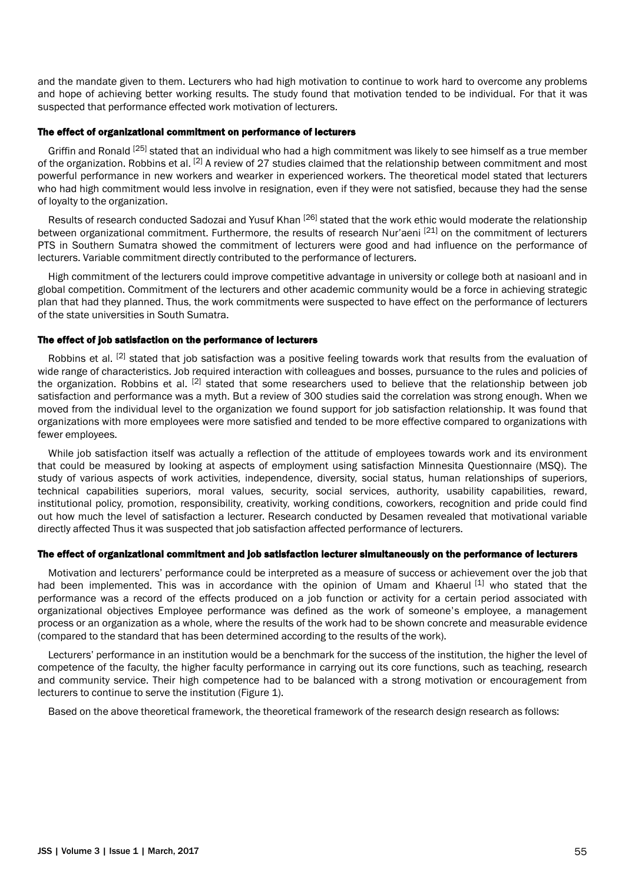and the mandate given to them. Lecturers who had high motivation to continue to work hard to overcome any problems and hope of achieving better working results. The study found that motivation tended to be individual. For that it was suspected that performance effected work motivation of lecturers.

### The effect of organizational commitment on performance of lecturers

Griffin and Ronald <sup>[25]</sup> stated that an individual who had a high commitment was likely to see himself as a true member of the organization. Robbins et al.  $[2]$  A review of 27 studies claimed that the relationship between commitment and most powerful performance in new workers and wearker in experienced workers. The theoretical model stated that lecturers who had high commitment would less involve in resignation, even if they were not satisfied, because they had the sense of loyalty to the organization.

Results of research conducted Sadozai and Yusuf Khan [26] stated that the work ethic would moderate the relationship between organizational commitment. Furthermore, the results of research Nur'aeni <sup>[21]</sup> on the commitment of lecturers PTS in Southern Sumatra showed the commitment of lecturers were good and had influence on the performance of lecturers. Variable commitment directly contributed to the performance of lecturers.

High commitment of the lecturers could improve competitive advantage in university or college both at nasioanl and in global competition. Commitment of the lecturers and other academic community would be a force in achieving strategic plan that had they planned. Thus, the work commitments were suspected to have effect on the performance of lecturers of the state universities in South Sumatra.

## The effect of job satisfaction on the performance of lecturers

Robbins et al. <sup>[2]</sup> stated that job satisfaction was a positive feeling towards work that results from the evaluation of wide range of characteristics. Job required interaction with colleagues and bosses, pursuance to the rules and policies of the organization. Robbins et al. [2] stated that some researchers used to believe that the relationship between job satisfaction and performance was a myth. But a review of 300 studies said the correlation was strong enough. When we moved from the individual level to the organization we found support for job satisfaction relationship. It was found that organizations with more employees were more satisfied and tended to be more effective compared to organizations with fewer employees.

While job satisfaction itself was actually a reflection of the attitude of employees towards work and its environment that could be measured by looking at aspects of employment using satisfaction Minnesita Questionnaire (MSQ). The study of various aspects of work activities, independence, diversity, social status, human relationships of superiors, technical capabilities superiors, moral values, security, social services, authority, usability capabilities, reward, institutional policy, promotion, responsibility, creativity, working conditions, coworkers, recognition and pride could find out how much the level of satisfaction a lecturer. Research conducted by Desamen revealed that motivational variable directly affected Thus it was suspected that job satisfaction affected performance of lecturers.

### The effect of organizational commitment and job satisfaction lecturer simultaneously on the performance of lecturers

Motivation and lecturers' performance could be interpreted as a measure of success or achievement over the job that had been implemented. This was in accordance with the opinion of Umam and Khaerul [1] who stated that the performance was a record of the effects produced on a job function or activity for a certain period associated with organizational objectives Employee performance was defined as the work of someone's employee, a management process or an organization as a whole, where the results of the work had to be shown concrete and measurable evidence (compared to the standard that has been determined according to the results of the work).

Lecturers' performance in an institution would be a benchmark for the success of the institution, the higher the level of competence of the faculty, the higher faculty performance in carrying out its core functions, such as teaching, research and community service. Their high competence had to be balanced with a strong motivation or encouragement from lecturers to continue to serve the institution (Figure 1).

Based on the above theoretical framework, the theoretical framework of the research design research as follows: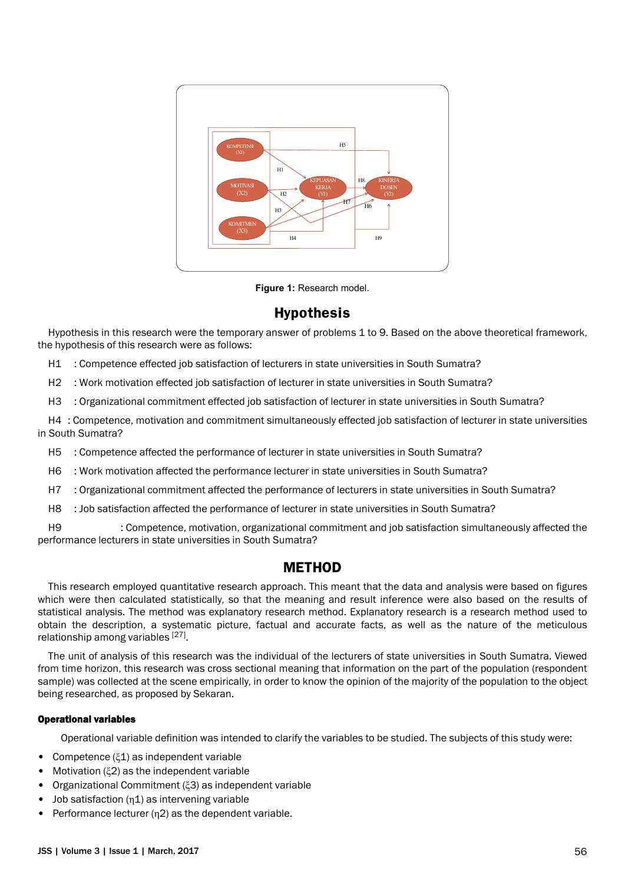

**Figure 1:** Research model.

# **Hypothesis**

Hypothesis in this research were the temporary answer of problems 1 to 9. Based on the above theoretical framework, the hypothesis of this research were as follows:

H1 : Competence effected job satisfaction of lecturers in state universities in South Sumatra?

H2 : Work motivation effected job satisfaction of lecturer in state universities in South Sumatra?

H3 : Organizational commitment effected job satisfaction of lecturer in state universities in South Sumatra?

H4 : Competence, motivation and commitment simultaneously effected job satisfaction of lecturer in state universities in South Sumatra?

H5 : Competence affected the performance of lecturer in state universities in South Sumatra?

H6 : Work motivation affected the performance lecturer in state universities in South Sumatra?

H7 : Organizational commitment affected the performance of lecturers in state universities in South Sumatra?

H8 : Job satisfaction affected the performance of lecturer in state universities in South Sumatra?

H9 : Competence, motivation, organizational commitment and job satisfaction simultaneously affected the performance lecturers in state universities in South Sumatra?

# **METHOD**

This research employed quantitative research approach. This meant that the data and analysis were based on figures which were then calculated statistically, so that the meaning and result inference were also based on the results of statistical analysis. The method was explanatory research method. Explanatory research is a research method used to obtain the description, a systematic picture, factual and accurate facts, as well as the nature of the meticulous relationship among variables [27].

The unit of analysis of this research was the individual of the lecturers of state universities in South Sumatra. Viewed from time horizon, this research was cross sectional meaning that information on the part of the population (respondent sample) was collected at the scene empirically, in order to know the opinion of the majority of the population to the object being researched, as proposed by Sekaran.

## Operational variables

Operational variable definition was intended to clarify the variables to be studied. The subjects of this study were:

- Competence (ξ1) as independent variable
- Motivation (ξ2) as the independent variable
- Organizational Commitment (ξ3) as independent variable
- Job satisfaction  $(\eta 1)$  as intervening variable
- Performance lecturer (η2) as the dependent variable.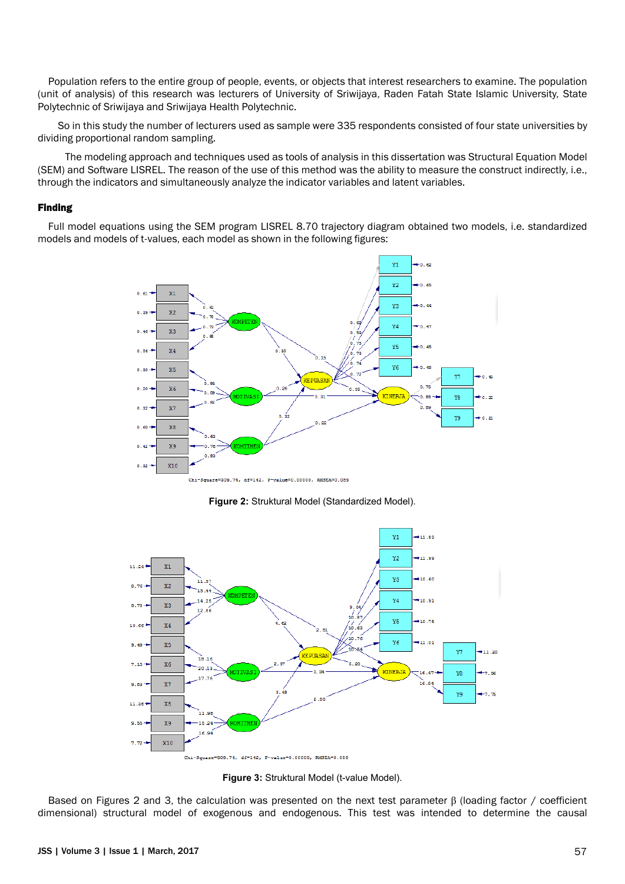Population refers to the entire group of people, events, or objects that interest researchers to examine. The population (unit of analysis) of this research was lecturers of University of Sriwijaya, Raden Fatah State Islamic University, State Polytechnic of Sriwijaya and Sriwijaya Health Polytechnic.

So in this study the number of lecturers used as sample were 335 respondents consisted of four state universities by dividing proportional random sampling.

The modeling approach and techniques used as tools of analysis in this dissertation was Structural Equation Model (SEM) and Software LISREL. The reason of the use of this method was the ability to measure the construct indirectly, i.e., through the indicators and simultaneously analyze the indicator variables and latent variables.

## Finding

Full model equations using the SEM program LISREL 8.70 trajectory diagram obtained two models, i.e. standardized models and models of t-values, each model as shown in the following figures:



**Figure 2:** Struktural Model (Standardized Model).



**Figure 3:** Struktural Model (t-value Model).

Based on Figures 2 and 3, the calculation was presented on the next test parameter β (loading factor / coefficient dimensional) structural model of exogenous and endogenous. This test was intended to determine the causal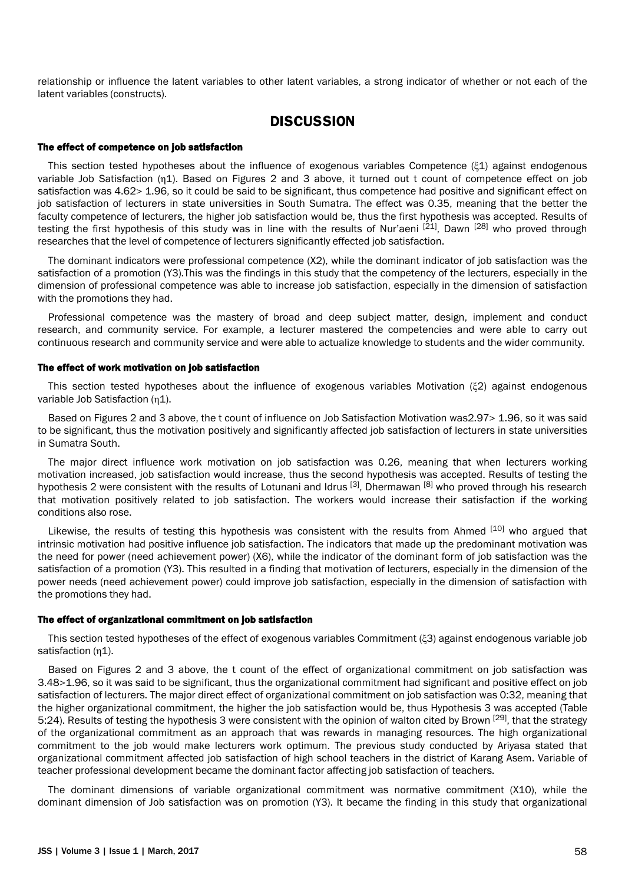relationship or influence the latent variables to other latent variables, a strong indicator of whether or not each of the latent variables (constructs).

## **DISCUSSION**

### The effect of competence on job satisfaction

This section tested hypotheses about the influence of exogenous variables Competence (ξ1) against endogenous variable Job Satisfaction (η1). Based on Figures 2 and 3 above, it turned out t count of competence effect on job satisfaction was 4.62> 1.96, so it could be said to be significant, thus competence had positive and significant effect on job satisfaction of lecturers in state universities in South Sumatra. The effect was 0.35, meaning that the better the faculty competence of lecturers, the higher job satisfaction would be, thus the first hypothesis was accepted. Results of testing the first hypothesis of this study was in line with the results of Nur'aeni  $^{[21]}$ . Dawn  $^{[28]}$  who proved through researches that the level of competence of lecturers significantly effected job satisfaction.

The dominant indicators were professional competence (X2), while the dominant indicator of job satisfaction was the satisfaction of a promotion (Y3).This was the findings in this study that the competency of the lecturers, especially in the dimension of professional competence was able to increase job satisfaction, especially in the dimension of satisfaction with the promotions they had.

Professional competence was the mastery of broad and deep subject matter, design, implement and conduct research, and community service. For example, a lecturer mastered the competencies and were able to carry out continuous research and community service and were able to actualize knowledge to students and the wider community.

#### The effect of work motivation on job satisfaction

This section tested hypotheses about the influence of exogenous variables Motivation (ξ2) against endogenous variable Job Satisfaction (η1).

Based on Figures 2 and 3 above, the t count of influence on Job Satisfaction Motivation was2.97> 1.96, so it was said to be significant, thus the motivation positively and significantly affected job satisfaction of lecturers in state universities in Sumatra South.

The major direct influence work motivation on job satisfaction was 0.26, meaning that when lecturers working motivation increased, job satisfaction would increase, thus the second hypothesis was accepted. Results of testing the hypothesis 2 were consistent with the results of Lotunani and Idrus [3], Dhermawan [8] who proved through his research that motivation positively related to job satisfaction. The workers would increase their satisfaction if the working conditions also rose.

Likewise, the results of testing this hypothesis was consistent with the results from Ahmed [10] who argued that intrinsic motivation had positive influence job satisfaction. The indicators that made up the predominant motivation was the need for power (need achievement power) (X6), while the indicator of the dominant form of job satisfaction was the satisfaction of a promotion (Y3). This resulted in a finding that motivation of lecturers, especially in the dimension of the power needs (need achievement power) could improve job satisfaction, especially in the dimension of satisfaction with the promotions they had.

### The effect of organizational commitment on job satisfaction

This section tested hypotheses of the effect of exogenous variables Commitment (ξ3) against endogenous variable job satisfaction (η1).

Based on Figures 2 and 3 above, the t count of the effect of organizational commitment on job satisfaction was 3.48>1.96, so it was said to be significant, thus the organizational commitment had significant and positive effect on job satisfaction of lecturers. The major direct effect of organizational commitment on job satisfaction was 0:32, meaning that the higher organizational commitment, the higher the job satisfaction would be, thus Hypothesis 3 was accepted (Table 5:24). Results of testing the hypothesis 3 were consistent with the opinion of walton cited by Brown  $[29]$ , that the strategy of the organizational commitment as an approach that was rewards in managing resources. The high organizational commitment to the job would make lecturers work optimum. The previous study conducted by Ariyasa stated that organizational commitment affected job satisfaction of high school teachers in the district of Karang Asem. Variable of teacher professional development became the dominant factor affecting job satisfaction of teachers.

The dominant dimensions of variable organizational commitment was normative commitment (X10), while the dominant dimension of Job satisfaction was on promotion (Y3). It became the finding in this study that organizational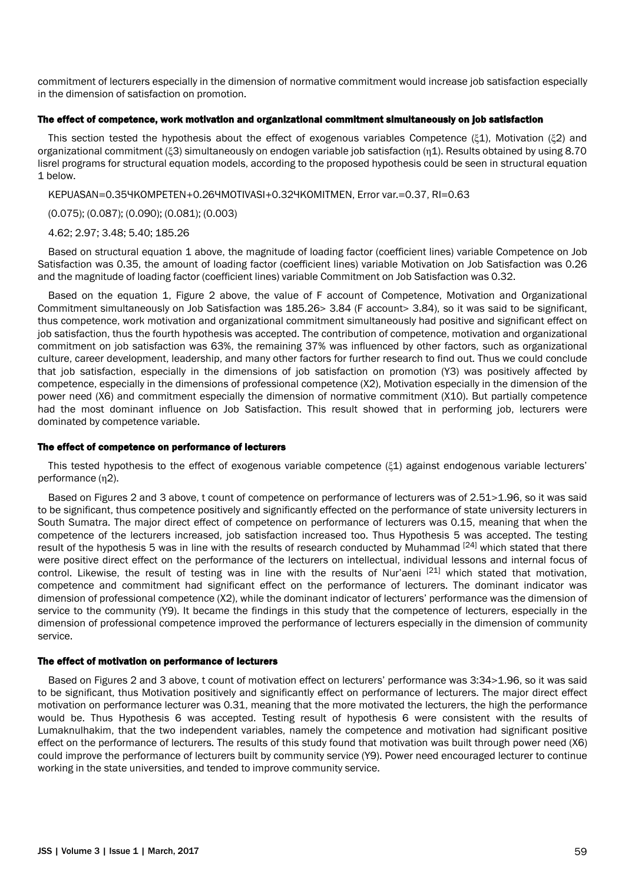commitment of lecturers especially in the dimension of normative commitment would increase job satisfaction especially in the dimension of satisfaction on promotion.

### The effect of competence, work motivation and organizational commitment simultaneously on job satisfaction

This section tested the hypothesis about the effect of exogenous variables Competence (ξ1), Motivation (ξ2) and organizational commitment (ξ3) simultaneously on endogen variable job satisfaction (η1). Results obtained by using 8.70 lisrel programs for structural equation models, according to the proposed hypothesis could be seen in structural equation 1 below.

KEPUASAN=0.35YKOMPETEN+0.26YMOTIVASI+0.32YKOMITMEN, Error var.=0.37, RI=0.63

(0.075); (0.087); (0.090); (0.081); (0.003)

### 4.62; 2.97; 3.48; 5.40; 185.26

Based on structural equation 1 above, the magnitude of loading factor (coefficient lines) variable Competence on Job Satisfaction was 0.35, the amount of loading factor (coefficient lines) variable Motivation on Job Satisfaction was 0.26 and the magnitude of loading factor (coefficient lines) variable Commitment on Job Satisfaction was 0.32.

Based on the equation 1, Figure 2 above, the value of F account of Competence, Motivation and Organizational Commitment simultaneously on Job Satisfaction was 185.26> 3.84 (F account> 3.84), so it was said to be significant, thus competence, work motivation and organizational commitment simultaneously had positive and significant effect on job satisfaction, thus the fourth hypothesis was accepted. The contribution of competence, motivation and organizational commitment on job satisfaction was 63%, the remaining 37% was influenced by other factors, such as organizational culture, career development, leadership, and many other factors for further research to find out. Thus we could conclude that job satisfaction, especially in the dimensions of job satisfaction on promotion (Y3) was positively affected by competence, especially in the dimensions of professional competence (X2), Motivation especially in the dimension of the power need (X6) and commitment especially the dimension of normative commitment (X10). But partially competence had the most dominant influence on Job Satisfaction. This result showed that in performing job, lecturers were dominated by competence variable.

### The effect of competence on performance of lecturers

This tested hypothesis to the effect of exogenous variable competence (ξ1) against endogenous variable lecturers' performance (n2).

Based on Figures 2 and 3 above, t count of competence on performance of lecturers was of 2.51>1.96, so it was said to be significant, thus competence positively and significantly effected on the performance of state university lecturers in South Sumatra. The major direct effect of competence on performance of lecturers was 0.15, meaning that when the competence of the lecturers increased, job satisfaction increased too. Thus Hypothesis 5 was accepted. The testing result of the hypothesis 5 was in line with the results of research conducted by Muhammad [24] which stated that there were positive direct effect on the performance of the lecturers on intellectual, individual lessons and internal focus of control. Likewise, the result of testing was in line with the results of Nur'aeni  $[21]$  which stated that motivation, competence and commitment had significant effect on the performance of lecturers. The dominant indicator was dimension of professional competence (X2), while the dominant indicator of lecturers' performance was the dimension of service to the community (Y9). It became the findings in this study that the competence of lecturers, especially in the dimension of professional competence improved the performance of lecturers especially in the dimension of community service.

### The effect of motivation on performance of lecturers

Based on Figures 2 and 3 above, t count of motivation effect on lecturers' performance was 3:34>1.96, so it was said to be significant, thus Motivation positively and significantly effect on performance of lecturers. The major direct effect motivation on performance lecturer was 0.31, meaning that the more motivated the lecturers, the high the performance would be. Thus Hypothesis 6 was accepted. Testing result of hypothesis 6 were consistent with the results of Lumaknulhakim, that the two independent variables, namely the competence and motivation had significant positive effect on the performance of lecturers. The results of this study found that motivation was built through power need (X6) could improve the performance of lecturers built by community service (Y9). Power need encouraged lecturer to continue working in the state universities, and tended to improve community service.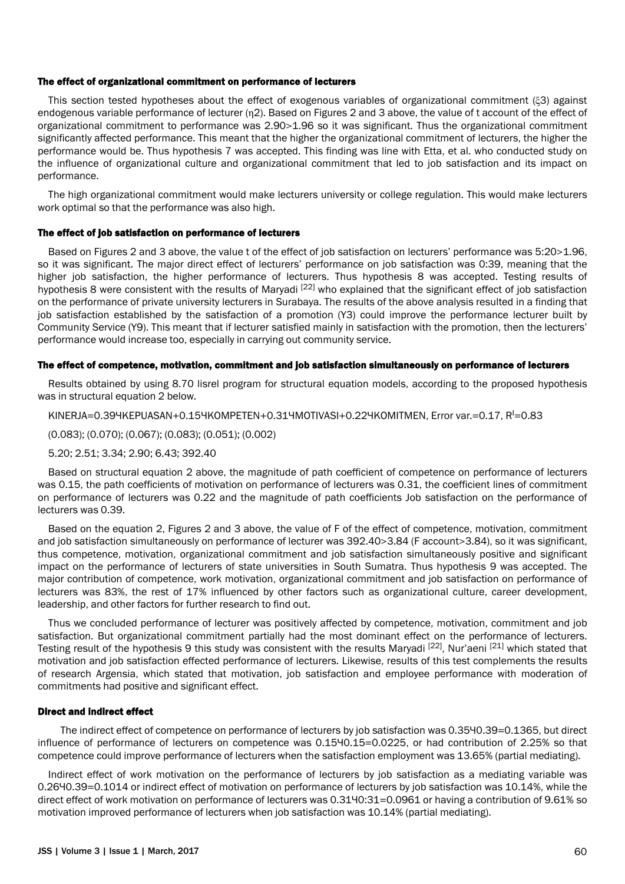### The effect of organizational commitment on performance of lecturers

This section tested hypotheses about the effect of exogenous variables of organizational commitment (ξ3) against endogenous variable performance of lecturer (η2). Based on Figures 2 and 3 above, the value of t account of the effect of organizational commitment to performance was 2.90>1.96 so it was significant. Thus the organizational commitment significantly affected performance. This meant that the higher the organizational commitment of lecturers, the higher the performance would be. Thus hypothesis 7 was accepted. This finding was line with Etta, et al. who conducted study on the influence of organizational culture and organizational commitment that led to job satisfaction and its impact on performance.

The high organizational commitment would make lecturers university or college regulation. This would make lecturers work optimal so that the performance was also high.

#### The effect of job satisfaction on performance of lecturers

Based on Figures 2 and 3 above, the value t of the effect of job satisfaction on lecturers' performance was 5:20>1.96, so it was significant. The major direct effect of lecturers' performance on job satisfaction was 0:39, meaning that the higher job satisfaction, the higher performance of lecturers. Thus hypothesis 8 was accepted. Testing results of hypothesis 8 were consistent with the results of Maryadi <sup>[22]</sup> who explained that the significant effect of job satisfaction on the performance of private university lecturers in Surabaya. The results of the above analysis resulted in a finding that job satisfaction established by the satisfaction of a promotion (Y3) could improve the performance lecturer built by Community Service (Y9). This meant that if lecturer satisfied mainly in satisfaction with the promotion, then the lecturers' performance would increase too, especially in carrying out community service.

### The effect of competence, motivation, commitment and job satisfaction simultaneously on performance of lecturers

Results obtained by using 8.70 lisrel program for structural equation models, according to the proposed hypothesis was in structural equation 2 below.

#### KINERJA=0.394KEPUASAN+0.154KOMPETEN+0.314MOTIVASI+0.224KOMITMEN, Error var.=0.17, R<sup>I</sup>=0.83

(0.083); (0.070); (0.067); (0.083); (0.051); (0.002)

5.20; 2.51; 3.34; 2.90; 6.43; 392.40

Based on structural equation 2 above, the magnitude of path coefficient of competence on performance of lecturers was 0.15, the path coefficients of motivation on performance of lecturers was 0.31, the coefficient lines of commitment on performance of lecturers was 0.22 and the magnitude of path coefficients Job satisfaction on the performance of lecturers was 0.39.

Based on the equation 2, Figures 2 and 3 above, the value of F of the effect of competence, motivation, commitment and job satisfaction simultaneously on performance of lecturer was 392.40>3.84 (F account>3.84), so it was significant, thus competence, motivation, organizational commitment and job satisfaction simultaneously positive and significant impact on the performance of lecturers of state universities in South Sumatra. Thus hypothesis 9 was accepted. The major contribution of competence, work motivation, organizational commitment and job satisfaction on performance of lecturers was 83%, the rest of 17% influenced by other factors such as organizational culture, career development, leadership, and other factors for further research to find out.

Thus we concluded performance of lecturer was positively affected by competence, motivation, commitment and job satisfaction. But organizational commitment partially had the most dominant effect on the performance of lecturers. Testing result of the hypothesis 9 this study was consistent with the results Maryadi [22], Nur'aeni [21] which stated that motivation and job satisfaction effected performance of lecturers. Likewise, results of this test complements the results of research Argensia, which stated that motivation, job satisfaction and employee performance with moderation of commitments had positive and significant effect.

#### Direct and indirect effect

The indirect effect of competence on performance of lecturers by job satisfaction was 0.3540.39=0.1365, but direct influence of performance of lecturers on competence was 0.15×0.15=0.0225, or had contribution of 2.25% so that competence could improve performance of lecturers when the satisfaction employment was 13.65% (partial mediating).

Indirect effect of work motivation on the performance of lecturers by job satisfaction as a mediating variable was 0.26×0.39=0.1014 or indirect effect of motivation on performance of lecturers by job satisfaction was 10.14%, while the direct effect of work motivation on performance of lecturers was 0.3140:31=0.0961 or having a contribution of 9.61% so motivation improved performance of lecturers when job satisfaction was 10.14% (partial mediating).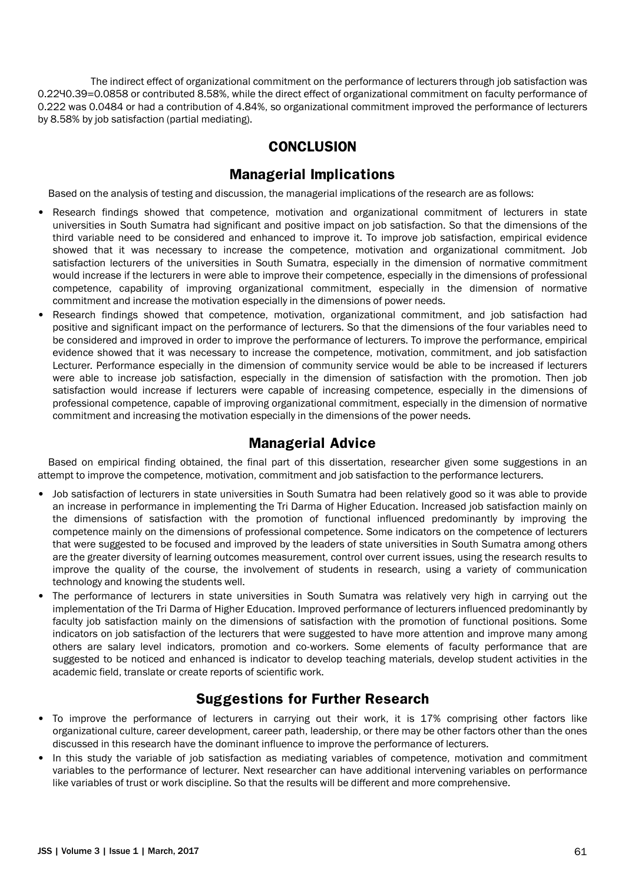The indirect effect of organizational commitment on the performance of lecturers through job satisfaction was 0.22×0.39=0.0858 or contributed 8.58%, while the direct effect of organizational commitment on faculty performance of 0.222 was 0.0484 or had a contribution of 4.84%, so organizational commitment improved the performance of lecturers by 8.58% by job satisfaction (partial mediating).

# **CONCLUSION**

# **Managerial Implications**

Based on the analysis of testing and discussion, the managerial implications of the research are as follows:

- Research findings showed that competence, motivation and organizational commitment of lecturers in state universities in South Sumatra had significant and positive impact on job satisfaction. So that the dimensions of the third variable need to be considered and enhanced to improve it. To improve job satisfaction, empirical evidence showed that it was necessary to increase the competence, motivation and organizational commitment. Job satisfaction lecturers of the universities in South Sumatra, especially in the dimension of normative commitment would increase if the lecturers in were able to improve their competence, especially in the dimensions of professional competence, capability of improving organizational commitment, especially in the dimension of normative commitment and increase the motivation especially in the dimensions of power needs.
- Research findings showed that competence, motivation, organizational commitment, and job satisfaction had positive and significant impact on the performance of lecturers. So that the dimensions of the four variables need to be considered and improved in order to improve the performance of lecturers. To improve the performance, empirical evidence showed that it was necessary to increase the competence, motivation, commitment, and job satisfaction Lecturer. Performance especially in the dimension of community service would be able to be increased if lecturers were able to increase job satisfaction, especially in the dimension of satisfaction with the promotion. Then job satisfaction would increase if lecturers were capable of increasing competence, especially in the dimensions of professional competence, capable of improving organizational commitment, especially in the dimension of normative commitment and increasing the motivation especially in the dimensions of the power needs.

# **Managerial Advice**

Based on empirical finding obtained, the final part of this dissertation, researcher given some suggestions in an attempt to improve the competence, motivation, commitment and job satisfaction to the performance lecturers.

- Job satisfaction of lecturers in state universities in South Sumatra had been relatively good so it was able to provide an increase in performance in implementing the Tri Darma of Higher Education. Increased job satisfaction mainly on the dimensions of satisfaction with the promotion of functional influenced predominantly by improving the competence mainly on the dimensions of professional competence. Some indicators on the competence of lecturers that were suggested to be focused and improved by the leaders of state universities in South Sumatra among others are the greater diversity of learning outcomes measurement, control over current issues, using the research results to improve the quality of the course, the involvement of students in research, using a variety of communication technology and knowing the students well.
- The performance of lecturers in state universities in South Sumatra was relatively very high in carrying out the implementation of the Tri Darma of Higher Education. Improved performance of lecturers influenced predominantly by faculty job satisfaction mainly on the dimensions of satisfaction with the promotion of functional positions. Some indicators on job satisfaction of the lecturers that were suggested to have more attention and improve many among others are salary level indicators, promotion and co-workers. Some elements of faculty performance that are suggested to be noticed and enhanced is indicator to develop teaching materials, develop student activities in the academic field, translate or create reports of scientific work.

# **Suggestions for Further Research**

- To improve the performance of lecturers in carrying out their work, it is 17% comprising other factors like organizational culture, career development, career path, leadership, or there may be other factors other than the ones discussed in this research have the dominant influence to improve the performance of lecturers.
- In this study the variable of job satisfaction as mediating variables of competence, motivation and commitment variables to the performance of lecturer. Next researcher can have additional intervening variables on performance like variables of trust or work discipline. So that the results will be different and more comprehensive.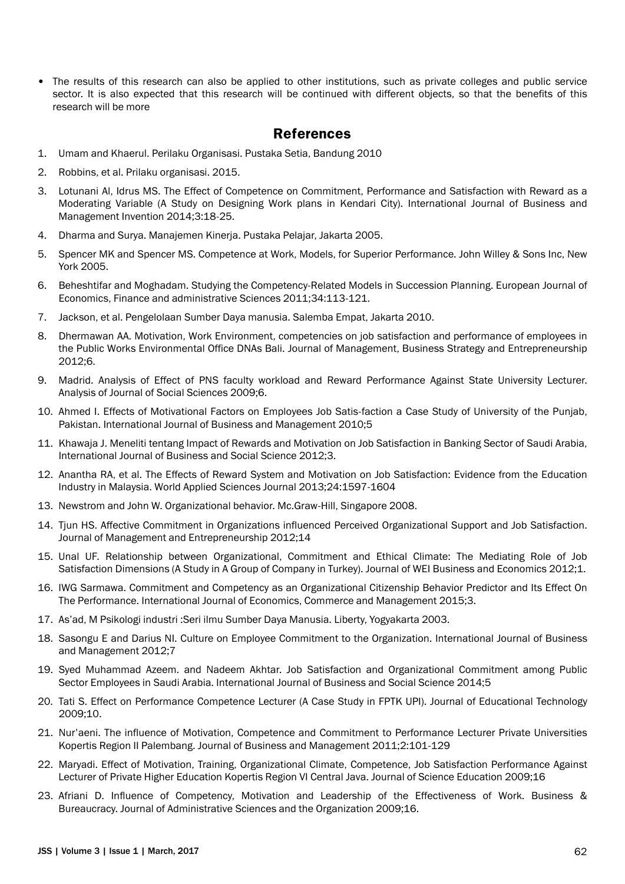• The results of this research can also be applied to other institutions, such as private colleges and public service sector. It is also expected that this research will be continued with different objects, so that the benefits of this research will be more

# **References**

- 1. Umam and Khaerul. Perilaku Organisasi. Pustaka Setia, Bandung 2010
- 2. Robbins, et al. Prilaku organisasi. 2015.
- 3. Lotunani Al, Idrus MS. The Effect of Competence on Commitment, Performance and Satisfaction with Reward as a Moderating Variable (A Study on Designing Work plans in Kendari City). International Journal of Business and Management Invention 2014;3:18-25.
- 4. Dharma and Surya. Manajemen Kinerja. Pustaka Pelajar, Jakarta 2005.
- 5. Spencer MK and Spencer MS. Competence at Work, Models, for Superior Performance. John Willey & Sons Inc, New York 2005.
- 6. Beheshtifar and Moghadam. Studying the Competency-Related Models in Succession Planning. European Journal of Economics, Finance and administrative Sciences 2011;34:113-121.
- 7. Jackson, et al. Pengelolaan Sumber Daya manusia. Salemba Empat, Jakarta 2010.
- 8. Dhermawan AA. Motivation, Work Environment, competencies on job satisfaction and performance of employees in the Public Works Environmental Office DNAs Bali. Journal of Management, Business Strategy and Entrepreneurship 2012;6.
- 9. Madrid. Analysis of Effect of PNS faculty workload and Reward Performance Against State University Lecturer. Analysis of Journal of Social Sciences 2009;6.
- 10. Ahmed I. Effects of Motivational Factors on Employees Job Satis-faction a Case Study of University of the Punjab, Pakistan. International Journal of Business and Management 2010;5
- 11. Khawaja J. Meneliti tentang Impact of Rewards and Motivation on Job Satisfaction in Banking Sector of Saudi Arabia, International Journal of Business and Social Science 2012;3.
- 12. Anantha RA, et al. The Effects of Reward System and Motivation on Job Satisfaction: Evidence from the Education Industry in Malaysia. World Applied Sciences Journal 2013;24:1597-1604
- 13. Newstrom and John W. Organizational behavior. Mc.Graw-Hill, Singapore 2008.
- 14. Tjun HS. Affective Commitment in Organizations influenced Perceived Organizational Support and Job Satisfaction. Journal of Management and Entrepreneurship 2012;14
- 15. Unal UF. Relationship between Organizational, Commitment and Ethical Climate: The Mediating Role of Job Satisfaction Dimensions (A Study in A Group of Company in Turkey). Journal of WEI Business and Economics 2012;1.
- 16. IWG Sarmawa. Commitment and Competency as an Organizational Citizenship Behavior Predictor and Its Effect On The Performance. International Journal of Economics, Commerce and Management 2015;3.
- 17. As'ad, M Psikologi industri :Seri ilmu Sumber Daya Manusia. Liberty, Yogyakarta 2003.
- 18. Sasongu E and Darius NI. Culture on Employee Commitment to the Organization. International Journal of Business and Management 2012;7
- 19. Syed Muhammad Azeem. and Nadeem Akhtar. Job Satisfaction and Organizational Commitment among Public Sector Employees in Saudi Arabia. International Journal of Business and Social Science 2014;5
- 20. Tati S. Effect on Performance Competence Lecturer (A Case Study in FPTK UPI). Journal of Educational Technology 2009;10.
- 21. Nur'aeni. The influence of Motivation, Competence and Commitment to Performance Lecturer Private Universities Kopertis Region II Palembang. Journal of Business and Management 2011;2:101-129
- 22. Maryadi. Effect of Motivation, Training, Organizational Climate, Competence, Job Satisfaction Performance Against Lecturer of Private Higher Education Kopertis Region VI Central Java. Journal of Science Education 2009;16
- 23. Afriani D. Influence of Competency, Motivation and Leadership of the Effectiveness of Work. Business & Bureaucracy. Journal of Administrative Sciences and the Organization 2009;16.